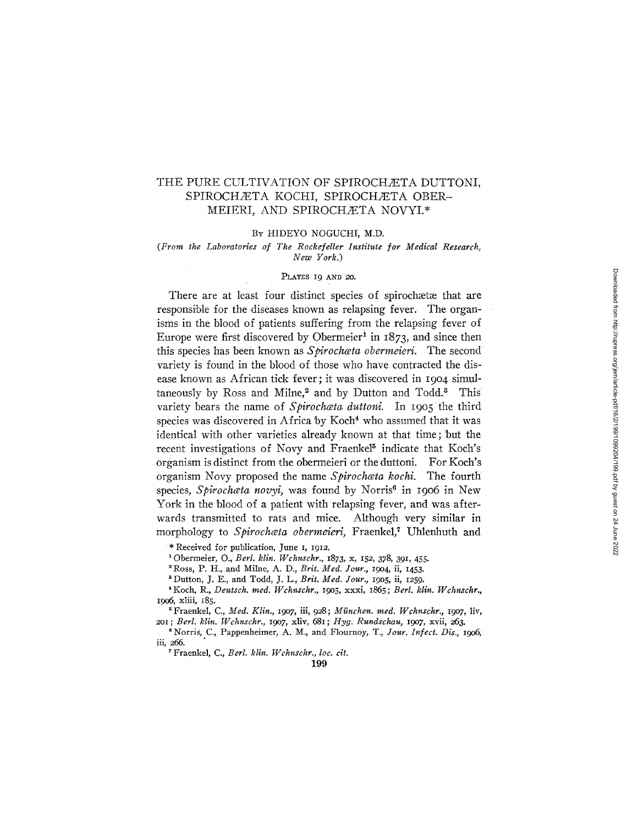# THE PURE CULTIVATION OF SPIROCHÆTA DUTTONI, SPIROCHÆTA KOCHI, SPIROCHÆTA OBER-MEIERI, AND SPIROCHÆTA NOVYI.\*

#### BY HIDEYO NOGUCHI, M.D.

*(From the Laboratories of The Rockefeller Institute for Medical Research, New York.)* 

### PLATES 19 AND 20.

There are at least four distinct species of spirochaetae that are responsible for the diseases known as relapsing fever. The organisms in the blood of patients suffering from the relapsing fever of Europe were first discovered by Obermeier<sup>1</sup> in  $1873$ , and since then this species has been known as *£pirochceta obermeieri.* The second variety is found in the blood of those who have contracted the disease known as African tick fever; it was discovered in 1904 simultaneously by Ross and Milne,<sup>2</sup> and by Dutton and Todd.<sup>3</sup> This variety bears the name of *Spirochata duttoni*. In 1905 the third species was discovered in Africa by Koch<sup>4</sup> who assumed that it was identical with other varieties already known at that time; but the recent investigations of Novy and Fraenkel<sup>5</sup> indicate that Koch's organism is distinct from the obermeieri or the duttoni. For Koch's organism Novy proposed the name *Spirochata kochi*. The fourth species, *Spirochata novyi*, was found by Norris<sup>6</sup> in 1906 in New York in the blood of a patient with relapsing fever, and was afterwards transmitted to rats and mice. Although very similar in morphology to *Spirochata obermeieri*, Fraenkel,<sup>7</sup> Uhlenhuth and

\* Received for publication, June I, 1912.

10bermeier, O., *Berl. klin. Wchnschr.,* 1873, x, 152, 378, 391, 455.

<sup>2</sup> Ross, P. H., and Milne, A. D., *Brit. Med. Jour.*, 1904, ii, 1453.

<sup>3</sup> Dutton, J. E., and Todd, J. L., *Brit. Med. Jour.*, 1905, ii, 1259.

4 Koch, R., *Deutsch. reed. l/Kchnschr.,* 19o5, xxxi, 1865 ; *Berl. klin. Wchnschr.,*  19o6, xtiii, 185.

<sup>5</sup> Fraenkel, C., *Med. Klin.*, 1907, iii, 928; München. med. Wchnschr., 1907, liv, 2Ol; *Berl. kiln. Vdchnschr.,* 19o7, xliv, 681; *Hyg. Rundschau,* 19o7, xvii, 263.

6 Norris, C., Pappenheimer, A. M., and Flournoy, T., *#our. Infect. Dis., 19o6,*  iii, 266.

\* Fraenkel, C., *Berl. klin. Wchnschr., loc. clt.*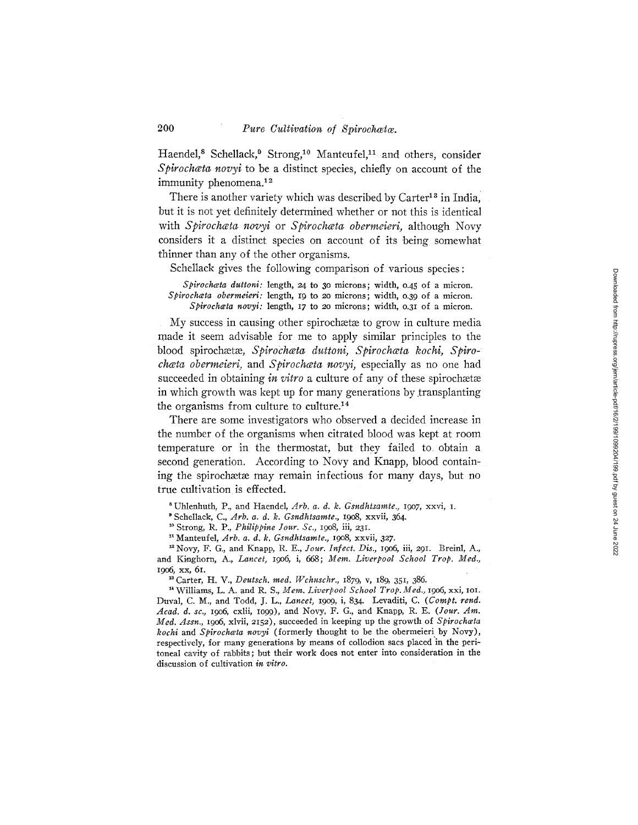Haendel,<sup>8</sup> Schellack,<sup>9</sup> Strong,<sup>10</sup> Manteufel,<sup>11</sup> and others, consider *Spirochata novyi* to be a distinct species, chiefly on account of the immunity phenomena.<sup>12</sup>

There is another variety which was described by  $Carter<sup>13</sup>$  in India. but it is not yet definitely determined whether or not this is identical with *Spirochceta novyi* or *Spirochceta obermeieri,* although Novy considers it a distinct species on account of its being somewhat thinner than any of the other organisms.

Schellack gives the following comparison of various species:

*Splrochceta duttoni:* length, 24 to 3o microns; width, 0.45 of a micron. *Splrochceta obermderi:* length, 19 to 2o microns; width, o.39 of a micron. *Splrochceta novyi:* length, 17 to 2o microns; width, o.31 of a micron.

My success in causing other spirochaetae to grow in culture media made it seem advisable for me to apply similar principles to the blood spirochætæ, Spirochæta duttoni, Spirochæta kochi, Spiro*chata obermeieri, and Spirochata novyi, especially as no one had* succeeded in obtaining *in vitro* a culture of any of these spirochaetae in which growth was kept up for many generations by transplanting the organisms from culture to culture.<sup>14</sup>

There are some investigators who observed a decided increase in the number of the organisms when citrated blood was kept at room temperature or in the thermostat, but they failed to obtain a second generation. According to Novy and Knapp, blood containing the spirochaetae may remain infectious for many days, but no true cultivation is effected.

s Uhlenhuth, P., and Haendel, *Arb, a. d. k. Gsndhtsamte.,* 19o7, xxvi, i.

' Schellack, C., *Arb. a. d. k. Gsndhtsamte.,* 19o8, xxvii, 364.

10 Strong, R. P., *Philippine Your. Sc.,* 19o8, iii, 231.

=1 Manteufel, *Arb. a. d. k, Gsndhtsamte.,* 19o8, xxvii, 327.

<sup>12</sup> Novy, F. G., and Knapp, R. E., *Jour. Infect. Dis.*, 1906, iii, 291. Breinl, A., and Kinghorn, A., *Lancet*, 1906, i, 668; *Mem. Liverpool School Trop. Med.*, 19o6 , xx, 61.

<sup>13</sup> Carter, H. V., *Deutsch. med. Wchnschr.*, 1879, v, 189, 351, 386.

<sup>14</sup> Williams, L. A. and R. S., Mem. Liverpool School Trop. Med., 1906, xxi, 101. Duval, C. M., and Todd, J. L., *Lancet*, 1909, i, 834. Levaditi, C. (Compt. rend. *Acad. d. sc,* 19o6, cxlii, IO99), and Novy, F. G., and Knapp, R. E. *(Your. An\*. Med. Assn.,* 19o6, xlvii, 2152), succeeded in keeping up the growth of *Spirochceta kochi* and *Spirochceta novyl* (formerly thought to be the obermeieri by Novy), respectively, for many generations by means of collodion sacs placed in the peritoneal cavity of rabbits; but their work does not enter into consideration in the discussion of cultivation *in vitro.*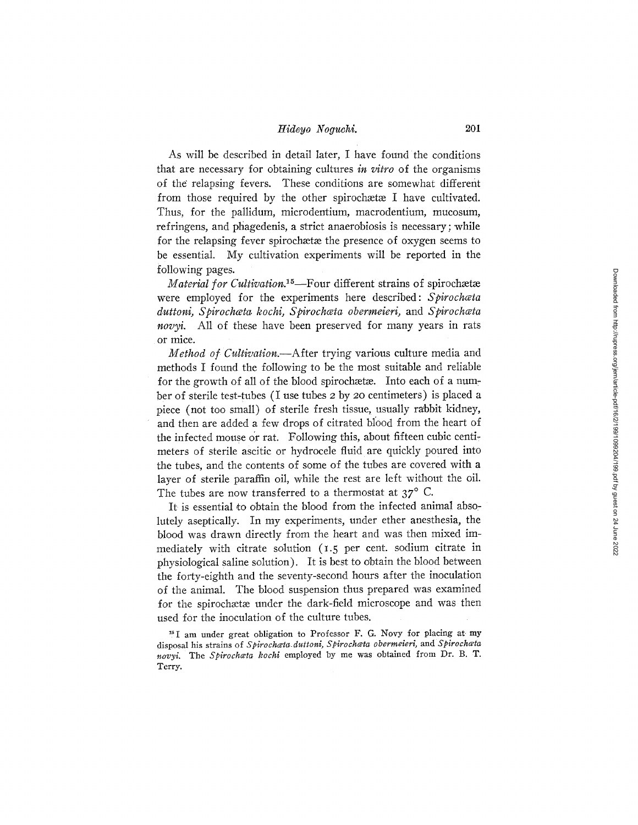As will be described in detail later, I have found the conditions that are necessary for obtaining cultures *in vitro* of the organisms of the relapsing fevers. These conditions are somewhat different from those required by the other spirochata I have cultivated. Thus, for the pallidum, microdentium, maerodentium, mucosum, refringens, and phagedenis, a strict anaerobiosis is necessary;while for the relapsing fever spirochaetae the presence of oxygen seems to be essential. My cultivation experiments will be reported in the following pages.

*Material for Cultivation.*<sup>15</sup>-Four different strains of spirochætæ were employed for the experiments here described: *Spirochata duttoni, Spirochceta kochi, Spirochceta obermeieri,* and *£pirochwta novyi.* All of these have been preserved for many years in rats or mice.

*Method of Cultivation.--After* trying various culture media and methods I found the following to be the most suitable and reliable for the growth of all of the blood spirochaeta. Into each of a number of sterile test-tubes (I use tubes 2 by 20 centimeters) is placed a piece (not too small) of sterile fresh tissue, usually rabbit kidney, and then are added a few drops of citrated blood from the heart of the infected mouse or rat. Following this, about fifteen cubic centimeters of sterile ascitic or hydrocele fluid are quickly poured into the tubes, and the contents of some of the tubes are covered with a layer of sterile paraffin oil, while the rest are left without the oil. The tubes are now transferred to a thermostat at  $37^\circ$  C.

It is essential to obtain the blood from the infected animal absolutely aseptically. In my experiments, under ether anesthesia, the blood was drawn directly from the heart and was then mixed immediately with citrate solution (1.5 per cent. sodium citrate in physiological saline solution). It is best to obtain the blood between the forty-eighth and the seventy-second hours after the inoculation of the animal. The blood suspension thus prepared was examined for the spirochætæ under the dark-field microscope and was then used for the inoculation of the culture tubes.

<sup>15</sup> I am under great obligation to Professor F. G. Novy for placing at my disposal his strains of *Spirochceta\_duttoni, Spirochceta obermeieri,* and *Spirochceta*  novyi. The *Spirochata kochi* employed by me was obtained from Dr. B. T. Terry.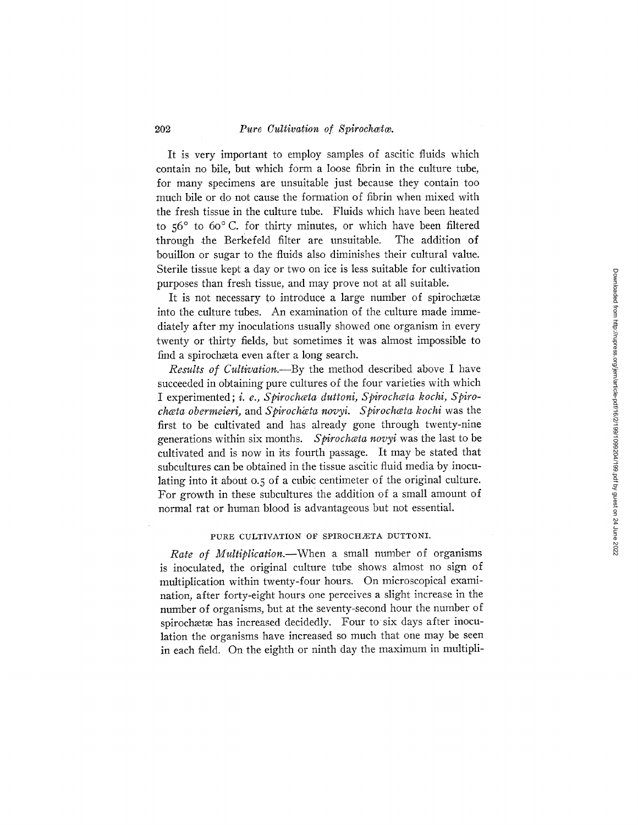It is very important to employ samples of ascitic fluids which contain no bile, but which form a loose fibrin in the culture tube, for many specimens are unsuitable just because they contain too much bile or do not cause the formation of fibrin when mixed with the fresh tissue in the culture tube. Fluids which have been heated to  $56^\circ$  to  $60^\circ$  C. for thirty minutes, or which have been filtered through the Berkefeld filter are unsuitable. The addition of bouillon or sugar to the fluids also diminishes their cultural value. Sterile tissue kept a day or two on ice is less suitable for cultivation purposes than fresh tissue, and may prove not at all suitable.

It is not necessary to introduce a large number of spirochætæ into the culture tubes. An examination of the culture made immediately after my inoculations usually showed one organism in every twenty or thirty fields, but sometimes it was almost impossible to find a spirochæta even after a long search.

*Results of Cultivation.--By* the method described above I have succeeded in obtaining pure cultures of the four varieties with which I experimented; *i. e.*, Spirochata duttoni, Spirochata kochi, Spiro*chata obermeieri, and Spirochata novyi. Spirochata kochi was the* first to be cultivated and has already gone through twenty-nine generations within six months. *Spirochata novyi* was the last to be cultivated and is now in its fourth passage. It may be stated that subcultures can be obtained in the tissue ascitic fluid media by inoculating into it about 0.5 of a cubic centimeter of the original culture. For growth in these subcultures the addition of a small amount of normal rat or human blood is advantageous but not essential.

#### PURE CULTIVATION OF SPIROCHÆTA DUTTONI.

*Rate of Multiplication.--When* a small number of organisms is inoculated, the original culture tube shows almost no sign of multiplication within twenty-four hours. On microscopical examination, after forty-eight hours one perceives a slight increase in the number of organisms, but at the seventy-second hour the number of spirochætæ has increased decidedly. Four to six days after inoculation the organisms have increased so much that one may be seen in each field. On the eighth or ninth day the maximum in multipli-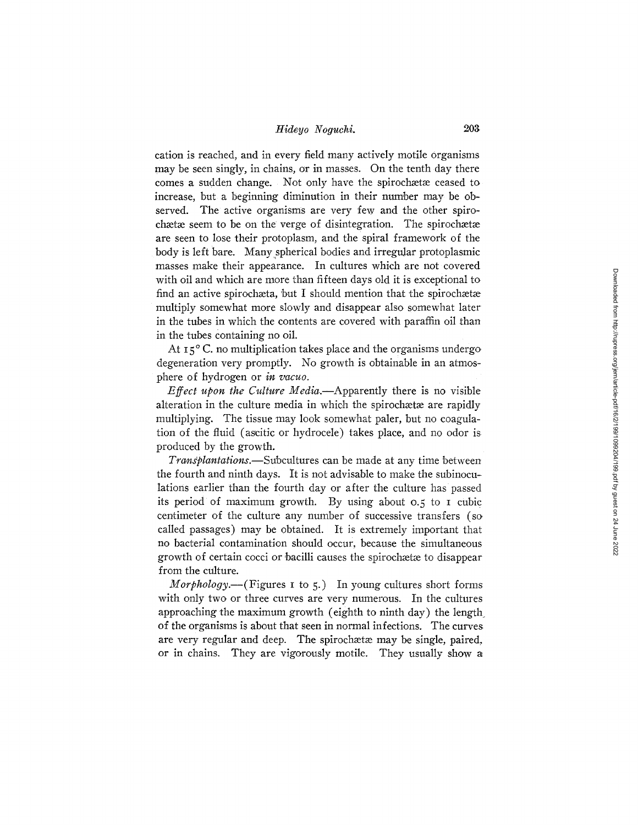cation is reached, and in every field many actively motile organisms may be seen singly, in chains, or in masses. On the tenth day there comes a sudden change. Not only have the spirochaetae ceased to increase, but a beginning diminution in their number may be observed. The active organisms are very few and the other spirochætæ seem to be on the verge of disintegration. The spirochætæ are seen to lose their protoplasm, and the spiral framework of the body is left bare. Many spherical bodies and irregular protoplasmic masses make their appearance. In cultures which are not covered with oil and which are more than fifteen days old it is exceptional to find an active spirochæta, but I should mention that the spirochætæ multiply somewhat more slowly and disappear also somewhat later in the tubes in which the contents are covered with paraffin oil than in the tubes containing no oil.

At  $15^{\circ}$  C. no multiplication takes place and the organisms undergo degeneration very promptly. No growth is obtainable in an atmosphere of hydrogen or *in vacuo.* 

*Effect upon the Culture Media.--Apparently* there is no visible alteration in the culture media in which the spirochatae are rapidly multiplying. The tissue may look somewhat paler, but no coagulation of the fluid (ascitic or hydrocele) takes place, and no odor is produced by the growth.

*Transplantations.*—Subcultures can be made at any time between the fourth and ninth days. It is not advisable to make the subinoculations earlier than the fourth day or after the culture has passed its period of maximum growth. By using about 0.5 to I cubic centimeter of the culture any number of successive transfers (so called passages) may be obtained. It is extremely important that no bacterial contamination should occur, because the simultaneous growth of certain cocci or bacilli causes the spirochata to disappear from the culture.

*Morphology.*--(Figures *I* to 5.) In young cultures short forms with only two or three curves are very numerous. In the cultures approaching the maximum growth (eighth to ninth day) the length of the organisms is about that seen in normal infections. The curves are very regular and deep. The spirochaetae may be single, paired, or in chains. They are vigorously motile. They usually show a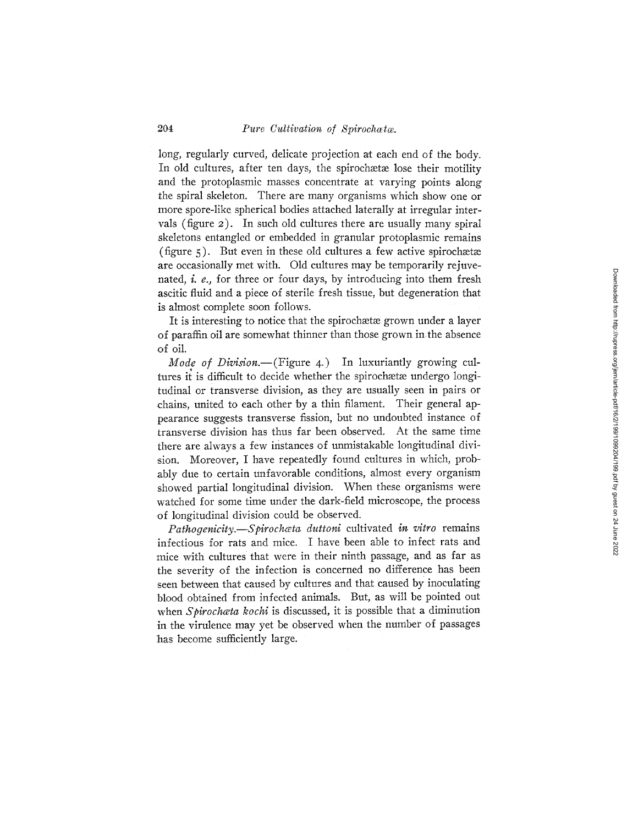long, regularly curved, delicate projection at each end of the body. In old cultures, after ten days, the spirochaetae lose their motility and the protoplasmic masses concentrate at varying points along the spiral skeleton; There are many organisms which show one or more spore-like spherical bodies attached laterally at irregular intervals (figure 2). In such old cultures there are usually many spiral skeletons entangled or embedded in granular protoplasmic remains (figure  $\zeta$ ). But even in these old cultures a few active spirochaetae are occasionally met with. Old cultures may be temporarily rejuvenated, i. e., for three or four days, by introducing into them fresh ascitic fluid and a piece of sterile fresh tissue, but degeneration that is almost complete soon follows.

It is interesting to notice that the spirochaetae grown under a layer of paraffin oil are somewhat thinner than those grown in-the absence of oil.

*Mode of Division.*—(Figure 4.) In luxuriantly growing cultures it is difficult to decide whether the spirochaetae undergo longitudinal or transverse division, as they are usually seen in pairs or • chains, united to each other 'by a thin filament. Their general appearance suggests transverse fission, but no undoubted instance of transverse division has thus far been observed. At the same time there are always a few instances of unmistakable longitudinal division. Moreover, I have repeatedly found cultures in which, probably due to certain unfavorable conditions, almost every organism showed partial longitudinal division. When these organisms were watched for some time under the dark-field microscope, the process .of longitudinal division could be observed.

*Pathogenicity.--gpirochceta duttoni* cultivated *in vitro* remains infectious for rats and mice. I have been able to infect rats and mice with cultures that were in their ninth passage, and as far as the severity of the infection is concerned no difference has been seen between that caused by cultures and that caused by inoculating blood obtained from infected animals. But, as will be pointed out when *Spirochata kochi* is discussed, it is possible that a diminution in the virulence may yet be observed when the number of passages has become sufficiently large.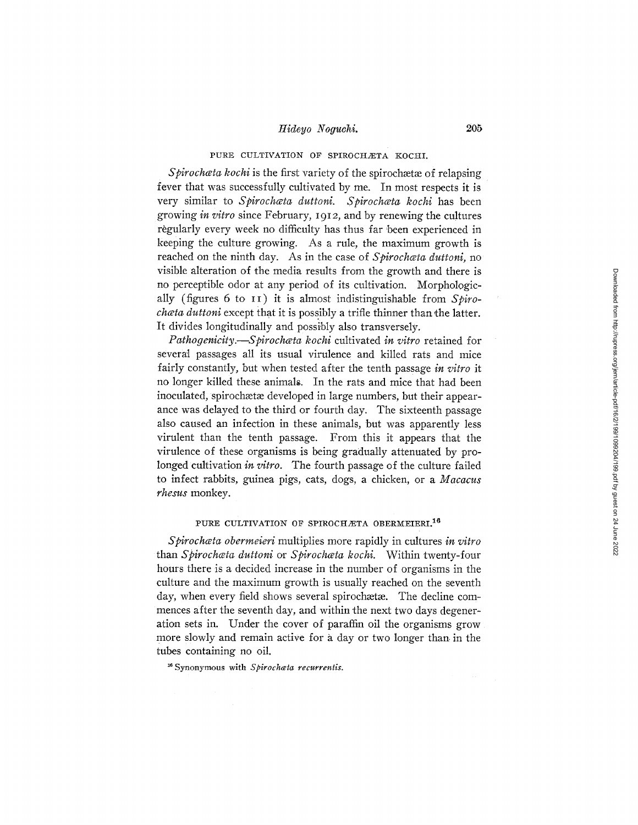## PURE CULTIVATION OF SPIROCHÆTA KOCHI.

Spirochata kochi is the first variety of the spirochata of relapsing fever that was successfully cultivated by me. In most respects it is very similar to Spirochata duttoni. Spirochata kochi has been growing *in vitro* since February, 1912 , and by renewing the cultures règularly every week no difficulty has thus far been experienced in keeping the culture growing. As a rule, the maximum growth is reached on the ninth day. As in the case of *Spirochata duttoni*, no visible alteration of the media results from the growth and there is no perceptible odor at any period of its cultivation. Morphologically (figures 6 to II) it is almost indistinguishable from *Spirochata duttoni* except that it is possibly a trifle thinner than the latter. It divides longitudinally and possibly also transversely.

*Pathogenicity.--Spirochceta kochi* cultivated *in vitro* retained for several passages all its usual virulence and killed rats and mice fairly constantly, but when tested after the tenth passage *in vitro* it no longer killed these animals. In the rats and mice that had been inoculated, spirochætæ developed in large numbers, but their appearance was delayed to the third or fourth day. The sixteenth passage also caused an infection in these animals, but was apparently less virulent than the tenth passage. From this it appears that the virulence of these organisms is being gradually attenuated by prolonged cultivation *in vitro.* The fourth passage of the culture failed to infect rabbits, guinea pigs, cats, dogs, a chicken, or a *Macacus rhesus* monkey.

#### PURE CULTIVATION OF SPIROCHÆTA OBERMEIERI.<sup>16</sup>

*Spirochceta obermeieri* multiplies more rapidly in cultures *in vitro*  than *Spirochceta duttoni or Spirochceta kochi.* Within twenty-four hours there is a decided increase in the number of organisms in the culture and the maximum growth is usually reached on the seventh day, when every field shows several spirochætæ. The decline commences after the seventh day, and within the next two days degeneration sets in. Under the cover of paraffin oil the organisms grow more slowly and remain active for a day or two longer than. in the tubes containing no oil.

~ Synonymous with *Spirochceta recurrentis.*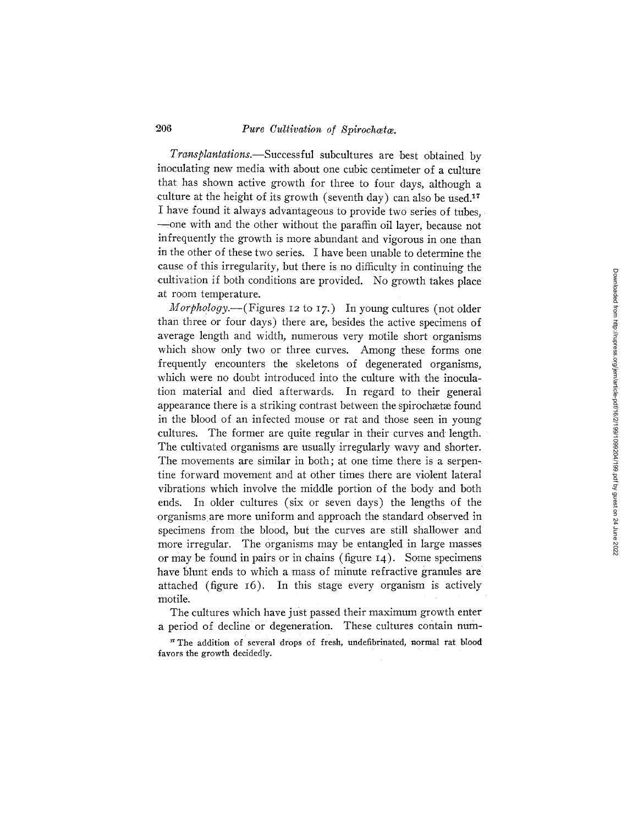*Transplantations.--Successful* subcultures are best obtained by inoculating new media with about one cubic centimeter of a culture that has shown active growth for three to four days, although a culture at the height of its growth (seventh day) can also be used.<sup>17</sup> I have found it always advantageous to provide two series of tubes, --one with and the other without the paraffin oil layer, because not infrequently the growth is more abundant and vigorous in one than in the other of these two series. I have been unable to determine the cause of this irregularity, but there is no difficulty in continuing the .cultivation if both conditions are provided. No growth takes place at room temperature.

*Morphology.*—(Figures 12 to 17.) In young cultures (not older than three or four days) there are, besides the active specimens of average length and width, numerous very motile short organisms which show only two or three curves. Among these forms one frequently encounters the skeletons of degenerated organisms, which were no doubt introduced into the culture with the inoculation material and died afterwards. In regard to their general appearance there is a striking contrast between the spirochætæ found in the blood of an infected mouse or rat and those seen in young cultures. The former are quite regular in their curves and length. The cultivated organisms are usually irregularly wavy and shorter. The movements are similar in both; at one time there is a serpenfine forward movement and at other times there are violent lateral vibrations which involve the middle portion of the body and both ends. In older cultures (six or seven days) the lengths of the organisms are more uniform and approach the standard observed in specimens from the blood, but the curves are still shallower and more irregular. The organisms may be entangled in large masses or may be found in pairs or in chains (figure 14). Some specimens have blunt ends to which a mass of minute refractive granules are attached (figure 16). In this stage every organism is actively motile.

The cultures which have just passed their maximum growth enter a period of decline or degeneration. These cultures contain num-

<sup>17</sup> The addition of several drops of fresh, undefibrinated, normal rat blood favors the growth decidedly.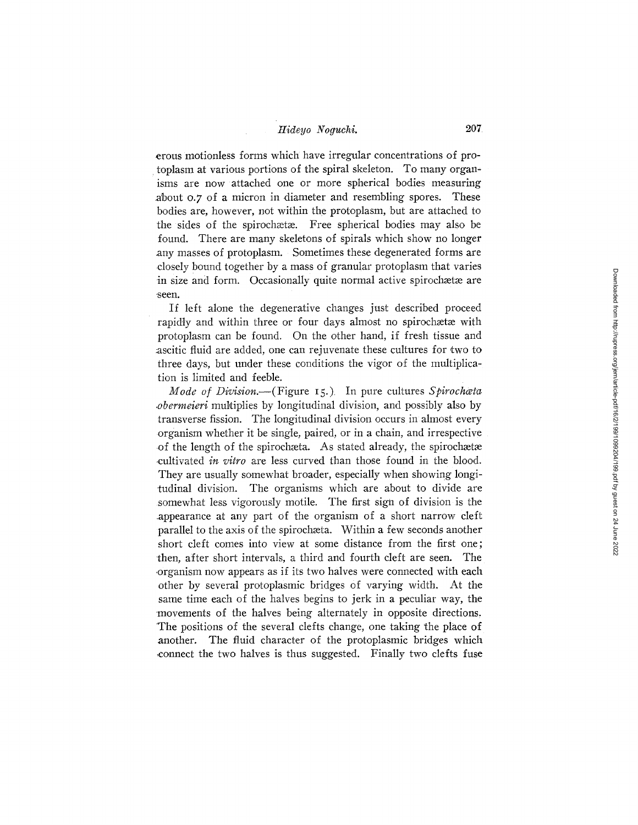erous motionless forms which have irregular concentrations of protoplasm at various portions of the spiral skeleton. To many organisms are now attached one or more spherical bodies measuring about o.7 of a micron in diameter and resembling spores. These bodies are, however, not within the protoplasm, but are attached to the sides of the spirochaeta. Free spherical bodies may also be found. There are many skeletons of spirals which show no longer any masses of protoplasm. Sometimes these degenerated forms are closely bound together by a mass of granular protoplasm that varies in size and form. Occasionally quite normal active spirochætæ are seen.

If left alone the degenerative changes just described proceed rapidly and within three or four days almost no spirochætæ with protoplasm can be found. On the other hand, if fresh tissue and ascitic fluid are added, one can rejuvenate these cultures for two to three days, but under these conditions the vigor of the multiplication is limited and feeble.

*Mode of Division.*--(Figure 15.) In pure cultures *Spirochata obermeieri* multiplies by longitudinal division, and possibly also by transverse fission. The longitudinal division occurs in almost every organism whether it be single, paired, or in a chain, and irrespective of the length of the spirochæta. As stated already, the spirochætæ .cultivated *in vitro* are less curved than those found in the blood. They are usually somewhat broader, especially when showing longitudinal division. The organisms which are about to divide are somewhat less vigorously motile. The first sign of division is the .appearance at any part of the organism of a short narrow cleft parallel to the axis of the spirochesta. Within a few seconds another short cleft comes into view at some distance from the first one; then, after short intervals, a third and fourth cleft are seen. The .organism now appears as if its two halves were connected with each other by several protoplasmic bridges of varying width. At the same time each of the halves begins to jerk in a peculiar way, the movements of the halves being alternately in opposite directions, The positions of the several clefts change, one taking the place of another. The fluid character of the protoplasmic bridges which ~connect the two halves is thus suggested. Finally two clefts fuse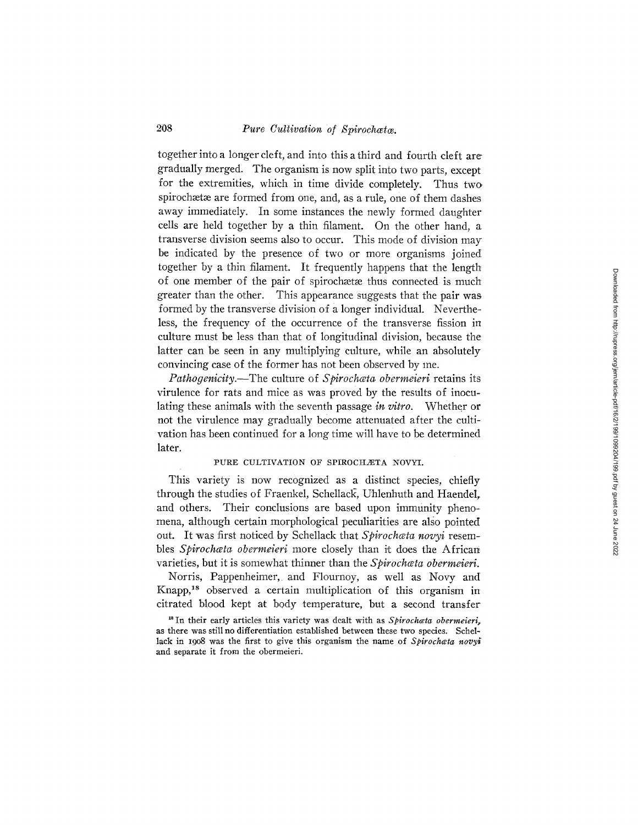together into a longer cleft, and into this a third and fourth cleft are gradually merged. The organism is now split into two parts, except for the extremities, which in time divide completely. Thus two spirochætæ are formed from one, and, as a rule, one of them dashes away immediately. In some instances the newly formed daughter cells are held together by a thin filament. On the other hand, a transverse division seems also to occur. This mode of division may be indicated by the presence of two or more organisms joined together by a thin filament. It frequently happens that the length of one member of the pair of spirochaetae thus connected is much greater than the other. This appearance suggests that the pair was formed by the transverse division of a longer individual. Nevertheless, the frequency of the occurrence of the transverse fission in culture must be less than that of longitudinal division, because the latter can be seen in any multiplying culture, while an absolutely convincing case of the former has not been observed by me.

*Pathogenicity.--The* culture of *Spirochceta obermeieri* retains its virulence for rats and mice as was proved by the results of inoculating these animals with the seventh passage *in vitro*. Whether or not the virulence may gradually become attenuated after the cultivation has been continued for a long time will have to be determined later.

## PURE CULTIVATION OF SPIROCHÆTA NOVYI.

This variety is now recognized as a distinct species, chiefly through the studies of Fraenkel, Schellack, Uhlenhuth and Haendel, and others. Their conclusions are based upon immunity phenomena, although certain morphological peculiarities are also pointed out. It was first noticed by Schellack that Spirochata novyi resembles *Spirochata obermeieri* more closely than it does the African varieties, but it is somewhat thinner than the *Spirochœta obermeieri*.

Norris, Pappenheimer, and Flournoy, as well as Novy and Knapp,<sup>18</sup> observed a certain multiplication of this organism in citrated blood kept at body temperature, but a second transfer

<sup>18</sup> In their early articles this variety was dealt with as *Spirochata obermeieri*, as there was still no differentiation established between these two species. Schellack in 1908 was the first to give this organism the name of *Spirochata novyi* and separate it from the obermeieri.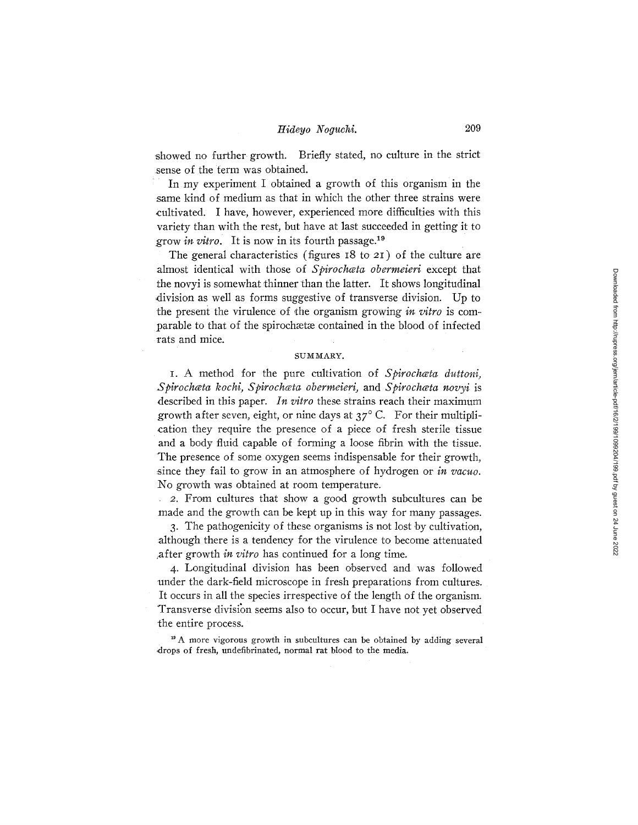showed no further growth. Briefly stated, no culture in the strict sense of the term was obtained.

In my experiment I obtained a growth of this organism in the same kind of medium as that in which the other three strains were cultivated. I have, however, experienced more difficulties with this variety than with the rest, but have at last succeeded in getting it to grow *in vitro*. It is now in its fourth passage.<sup>19</sup>

The general characteristics (figures 18 to 21) of the culture are almost identical with those of *Spirochata obermeieri* except that the novyi is somewhat thinner than the latter. It shows longitudinal division as well as forms suggestive of transverse division. Up to the present the virulence of the organism growing *in vitro* is comparable to that of the spirochaetae contained in the blood of infected rats and mice.

### SUMMARY.

I. A method for the pure cultivation of *Spirochceta duttoni, Spirochcta kochi, Spirochveta obermeieri,* and *Spirochceta novyi* is described in this paper. *In vitro* these strains reach their *maximum*  growth after seven, eight, or nine days at  $37^{\circ}$  C. For their multiplication they require the presence of a piece of fresh sterile tissue and a body fluid capable of forming a loose fibrin with the tissue. The presence of some oxygen seems indispensable for their growth, :since they fail to grow in an atmosphere of hydrogen or *in vacuo.*  No growth was obtained at room temperature.

2. From cultures that show a good growth subcultures can be made and the growth can be kept up in this way for many passages.

3. The pathogenicity of these organisms is not lost by cultivation, although there is a tendency for the virulence to become attenuated ,after growth *in vitro* has continued for a long time.

4. Longitudinal division has been observed and was followed amder the dark-field microscope in fresh preparations from cultures. It occurs in all the species irrespective of the length of the organism. 'Transverse division seems also to occur, but I have not yet observed the entire process.

<sup>19</sup> A more vigorous growth in subcultures can be obtained by adding several drops of fresh, undefibrinated, normal rat blood to the media.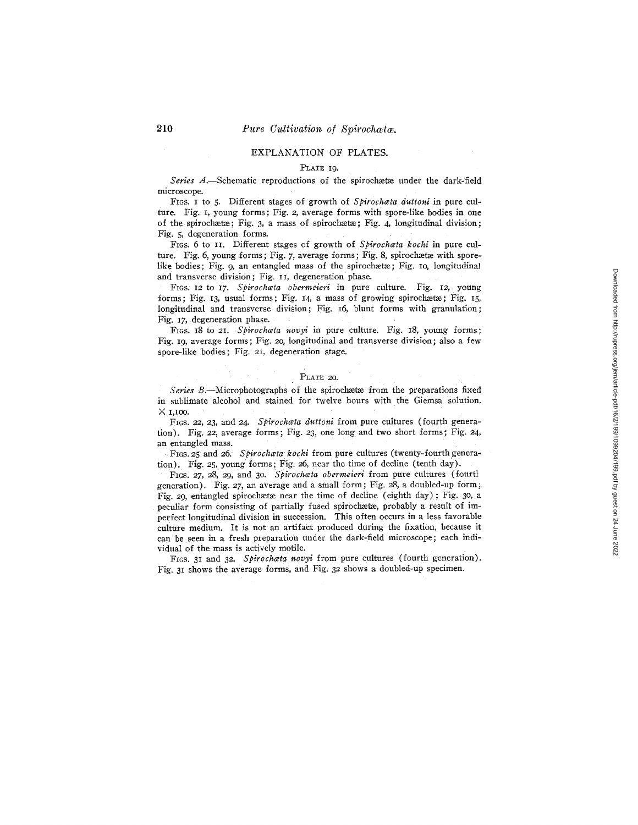#### EXPLANATION OF PLATES.

#### PLATE 19.

Series A.-Schematic reproductions of the spirochaetae under the dark-field microscope.

FIGS. I to 5. Different stages of growth of *Spirochceta duttoni* in pure culture. Fig. I, young forms; Fig. 2, average forms with spore-like bodies in one of the spirochaetae; Fig. 3, a mass of spirochaetae; Fig. 4, longitudinal division; Fig. 5, degeneration forms.

FIGS. 6 to II. Different stages of growth of *Spirochwta kochi* in pure culture. Fig. 6, young forms; Fig. 7, average forms; Fig. 8, spirochaetae with sporelike bodies; Fig. 9, an entangled mass of the spirochaetae; Fig.  $I_0$ , longitudinal and transverse division; Fig. II, degeneration phase.

FIGS. 12 to 17. *Spirochceta obermeieri* in pure culture. Fig. 12, young forms; Fig. 13, usual forms; Fig. 14, a mass of growing spirochaeta; Fig. 15, longitudinal and transverse division; Fig. 16, blunt forms with granulation; Fig. 17, degeneration phase.

FIGS. 18 to 21. *Spirochcta novyi* in pure culture. Fig. 18, young forms; Fig. 19, average forms; Fig. 20, longitudinal and transverse division; also a few spore-like bodies; Fig. 21, degeneration stage.

#### PLATE 20.

Series B.-Microphotographs of the spirochaetae from the preparations fixed in sublimate alcohol and stained for twelve hours with the Giemsa solution. X I,I00.

FIGS. 22, 23, and 24. *Spirochata duttoni* from pure cultures (fourth generation). Fig. 22, average forms; Fig. 23, one long and two short forms; Fig. 24, an entangled mass.

FIGS. 25 and 26. Spirochata kochi from pure cultures (twenty-fourth generation). Fig. 25, young forms; Fig. 26, near the time of decline (tenth day).

FIGS. *27,* 28, *29,* and 30. *Spirochceta oberrneieri* from pure cultures (fourfl generation). Fig. *27,* an average and a small form; Fig. 28, a doubled-up form; Fig. 29, entangled spirochaetae near the time of decline (eighth day); Fig. 30, a peculiar form consisting of partially fused spirochaetae, probably a result of imperfect longitudinal division in succession. This often occurs in a less favorable culture medium. It is not an artifact produced during the fixation, because it can be seen in a fresh preparation under the dark-field microscope; each individual of the mass is actively motile.

FIGS. 31 and 32. Spirochata novyi from pure cultures (fourth generation). Fig. 31 shows the average forms, and Fig. 32 shows a doubled-up specimen.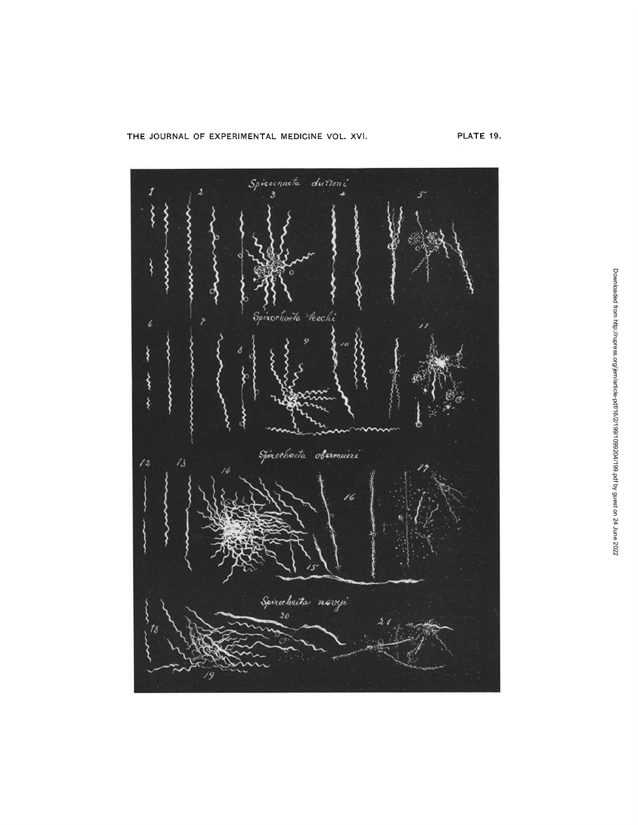THE JOURNAL OF EXPERIMENTAL MEDICINE VOL. XVI. PLATE 19.